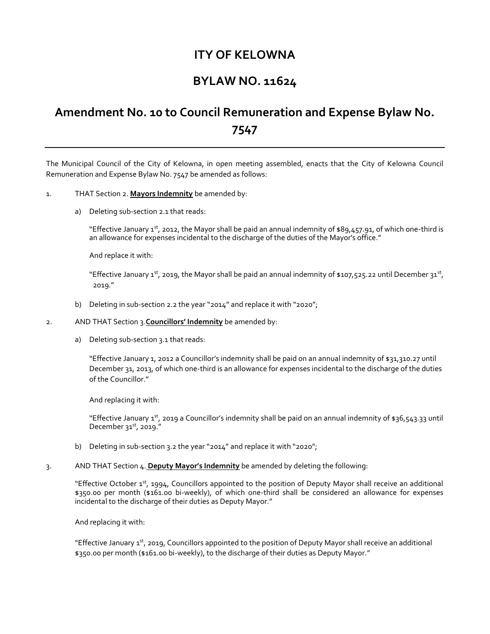## **ITY OF KELOWNA**

## **BYLAW NO. 11624**

## **Amendment No. 10 to Council Remuneration and Expense Bylaw No. 7547**

The Municipal Council of the City of Kelowna, in open meeting assembled, enacts that the City of Kelowna Council Remuneration and Expense Bylaw No. 7547 be amended as follows:

## 1. THAT Section 2. **Mayors Indemnity** be amended by:

a) Deleting sub-section 2.1 that reads:

"Effective January 1st, 2012, the Mayor shall be paid an annual indemnity of \$89,457.91, of which one-third is an allowance for expenses incidental to the discharge of the duties of the Mayor's office."

And replace it with:

"Effective January 1<sup>st</sup>, 2019, the Mayor shall be paid an annual indemnity of \$107,525.22 until December 31st, 2019."

- b) Deleting in sub-section 2.2 the year "2014" and replace it with "2020";
- 2. AND THAT Section 3.**Councillors' Indemnity** be amended by:
	- a) Deleting sub-section 3.1 that reads:

"Effective January 1, 2012 a Councillor's indemnity shall be paid on an annual indemnity of \$31,310.27 until December 31, 2013, of which one-third is an allowance for expenses incidental to the discharge of the duties of the Councillor."

And replacing it with:

"Effective January 1<sup>st</sup>, 2019 a Councillor's indemnity shall be paid on an annual indemnity of \$36,543.33 until December  $31<sup>st</sup>$ , 2019."

- b) Deleting in sub-section 3.2 the year "2014" and replace it with "2020";
- 3. AND THAT Section 4. **Deputy Mayor's Indemnity** be amended by deleting the following:

"Effective October 1st, 1994, Councillors appointed to the position of Deputy Mayor shall receive an additional \$350.00 per month (\$161.00 bi-weekly), of which one-third shall be considered an allowance for expenses incidental to the discharge of their duties as Deputy Mayor."

And replacing it with:

"Effective January 1<sup>st</sup>, 2019, Councillors appointed to the position of Deputy Mayor shall receive an additional \$350.00 per month (\$161.00 bi-weekly), to the discharge of their duties as Deputy Mayor."